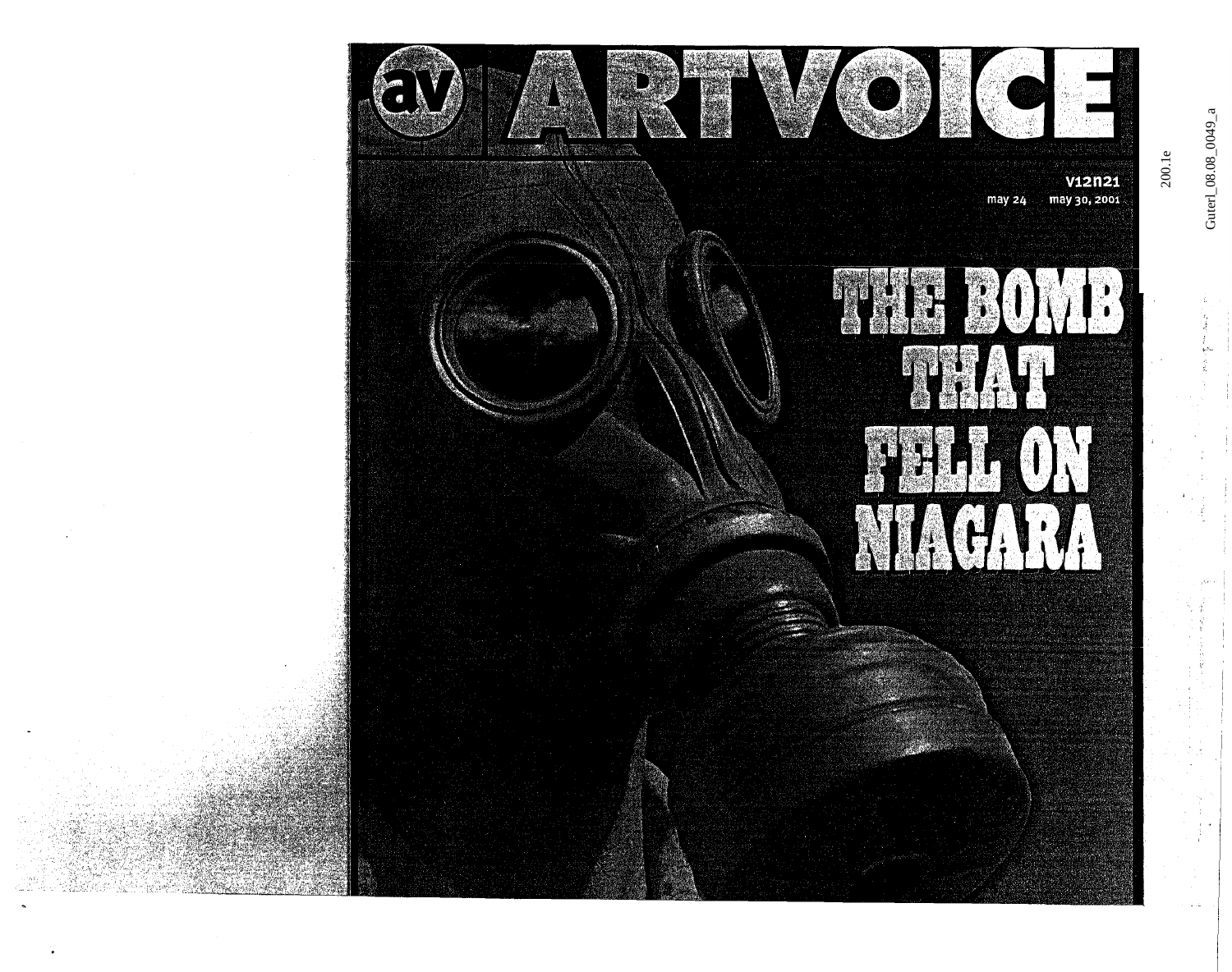

Guterl\_08.08\_0049\_a

.<br>دە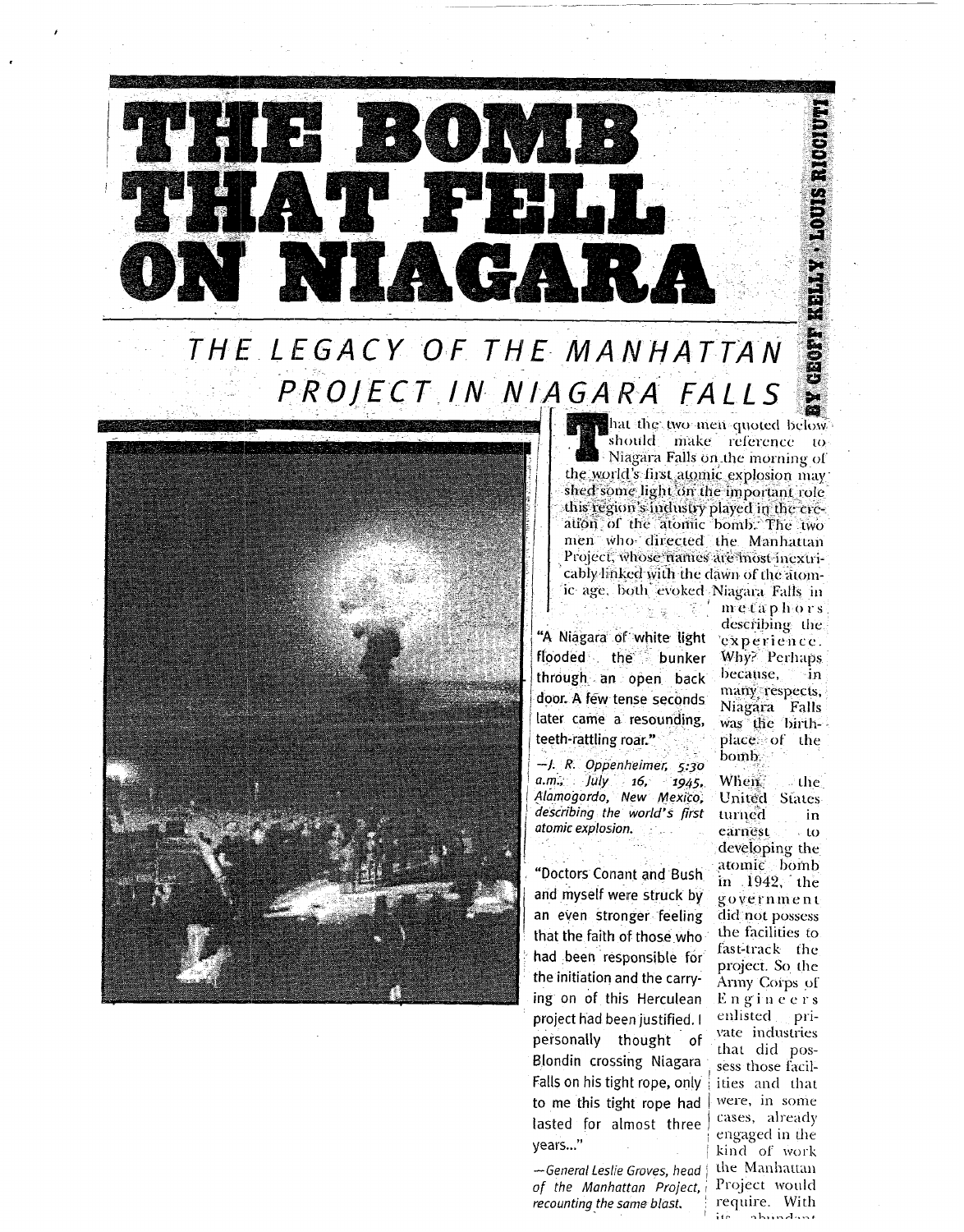

THE LEGACY OF THE MANHATTAN PROJECT IN NIAGARA FALLS



that the two men quoted below should make reference to - Niagara Falls on the morning of the world's first atomic explosion may shed some light on the important role this region's industry played in the creation of the atomic bomb. The two men who directed the Manhattan Project, whose names are most inextricably linked with the dawn of the atomic age, both evoked Niagara Falls in

"A Niagara of white light flooded the bunker through an open back door. A few tense seconds later came a resounding. teeth-rattling roar."

국왕 넣고

 $-1. R. Oppenheimer, 5:30$  $a.m.$   $\int l l y$  16, 1945, Alamogordo, New Mexico, describing the world's first atomic explosion.

"Doctors Conant and Bush and myself were struck by an even stronger feeling that the faith of those who had been responsible for the initiation and the carrying on of this Herculean project had been justified. I personally thought of Blondin crossing Niagara Falls on his tight rope, only to me this tight rope had lasted for almost three years..."

-General Leslie Groves, head of the Manhattan Project, recounting the same blast.

metaphors describing the experience. Why? Perhaps because. ∙in many respects, Niagara Falls was the birthplace of the bomb.

When. the. United States turned in earnest  $-10$ developing the atomic bomb in 1942, the government did not possess the facilities to fast-track the project. So the Army Corps of Engineers enlisted private industries that did possess those facilities and that were, in some cases, already engaged in the kind of work the Manhattan Project would require. With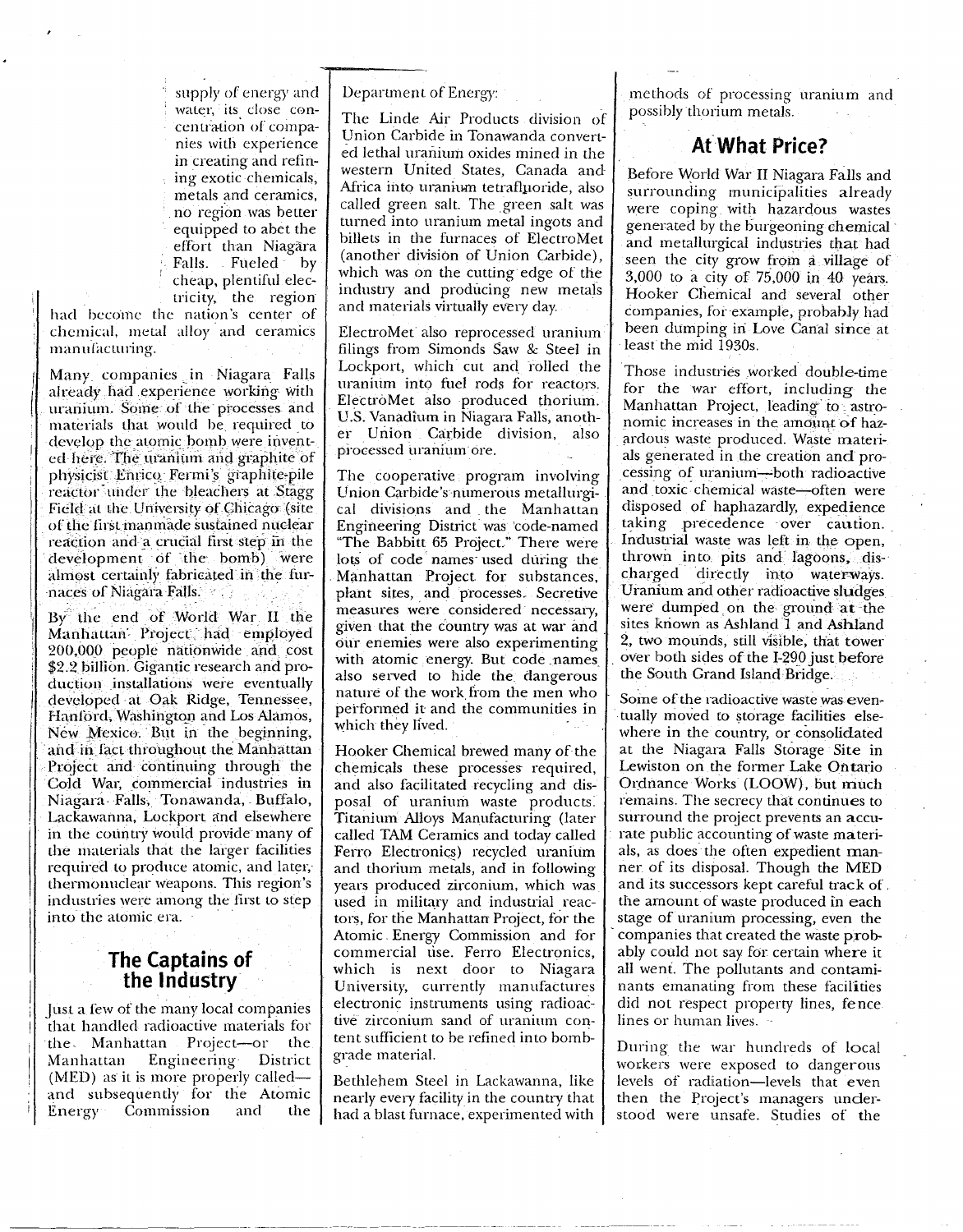supply of energy and water, its close concentration of companies with experience in creating and refining exotic chemicals, metals and ceramics, no region was better equipped to abet the effort than Niagara Falls. Fueled by cheap, plentiful electricity, the region

had become the nation's center of chemical, metal alloy and ceramics manufacturing.

Many companies in Niagara Falls already had experience working with uranium. Some of the processes and materials that would be required to develop the atomic bomb were invented here. The uranium and graphite of physicist Enrico Fermi's graphite-pile reactor under the bleachers at Stagg Field at the University of Chicago (site of the first manmade sustained nuclear reaction and a crucial first step in the development of the bomb) were almost certainly fabricated in the furnaces of Niagara Falls.

By the end of World War II the Manhattan Project had employed 200,000 people nationwide and cost \$2.2 billion. Gigantic research and production installations were eventually developed at Oak Ridge, Tennessee, Hanford, Washington and Los Alamos, New Mexico. But in the beginning, and in fact throughout the Manhattan Project and continuing through the Cold War, commercial industries in Niagara Falls, Tonawanda, Buffalo, Lackawanna, Lockport and elsewhere in the country would provide many of the materials that the larger facilities required to produce atomic, and later, thermonuclear weapons. This region's industries were among the first to step into the atomic era.

## The Captains of the Industry

Just a few of the many local companies that handled radioactive materials for the Manhattan Project-or the Engineering District Manhattan (MED) as it is more properly called and subsequently for the Atomic Commission Energy and the

Department of Energy:

The Linde Air Products division of Union Carbide in Tonawanda converted lethal uranium oxides mined in the western United States, Canada and Africa into uranium tetrafluoride, also called green salt. The green salt was turned into uranium metal ingots and billets in the furnaces of ElectroMet (another division of Union Carbide). which was on the cutting edge of the industry and producing new metals and materials virtually every day.

ElectroMet also reprocessed uranium filings from Simonds Saw & Steel in Lockport, which cut and rolled the uranium into fuel rods for reactors. ElectroMet also produced thorium. U.S. Vanadium in Niagara Falls, another Union Carbide division, also processed uranium ore.

The cooperative program involving Union Carbide's numerous metallurgical divisions and the Manhattan Engineering District was code-named "The Babbitt 65 Project." There were lots of code names used during the Manhattan Project for substances, plant sites, and processes. Secretive measures were considered necessary, given that the country was at war and our enemies were also experimenting with atomic energy. But code names also served to hide the dangerous nature of the work from the men who performed it and the communities in which they lived.

Hooker Chemical brewed many of the chemicals these processes required, and also facilitated recycling and disposal of uranium waste products. Titanium Alloys Manufacturing (later called TAM Ceramics and today called Ferro Electronics) recycled uranium and thorium metals, and in following years produced zirconium, which was used in military and industrial reactors, for the Manhattan Project, for the Atomic Energy Commission and for commercial use. Ferro Electronics, which is next door to Niagara University, currently manufactures electronic instruments using radioactive zirconium sand of uranium content sufficient to be refined into bombgrade material.

Bethlehem Steel in Lackawanna, like nearly every facility in the country that had a blast furnace, experimented with methods of processing uranium and possibly thorium metals.

# At What Price?

Before World War II Niagara Falls and surrounding municipalities already were coping with hazardous wastes generated by the burgeoning chemical and metallurgical industries that had seen the city grow from a village of 3,000 to a city of 75,000 in 40 years. Hooker Chemical and several other companies, for example, probably had been dumping in Love Canal since at least the mid 1930s.

Those industries worked double-time for the war effort, including the Manhattan Project, leading to astronomic increases in the amount of hazardous waste produced. Waste materials generated in the creation and processing of uranium-both radioactive and toxic chemical waste-often were disposed of haphazardly, expedience taking precedence over caution. Industrial waste was left in the open, thrown into pits and lagoons, discharged directly into waterways. Uranium and other radioactive sludges were dumped on the ground at the sites known as Ashland 1 and Ashland 2, two mounds, still visible, that tower over both sides of the I-290 just before the South Grand Island Bridge.

Some of the radioactive waste was eventually moved to storage facilities elsewhere in the country, or consolidated at the Niagara Falls Storage Site in Lewiston on the former Lake Ontario Ordnance Works (LOOW), but much remains. The secrecy that continues to surround the project prevents an accurate public accounting of waste materials, as does the often expedient manner of its disposal. Though the MED and its successors kept careful track of. the amount of waste produced in each stage of uranium processing, even the companies that created the waste probably could not say for certain where it all went. The pollutants and contaminants emanating from these facilities did not respect property lines, fence. lines or human lives.

During the war hundreds of local workers were exposed to dangerous levels of radiation-levels that even then the Project's managers understood were unsafe. Studies of the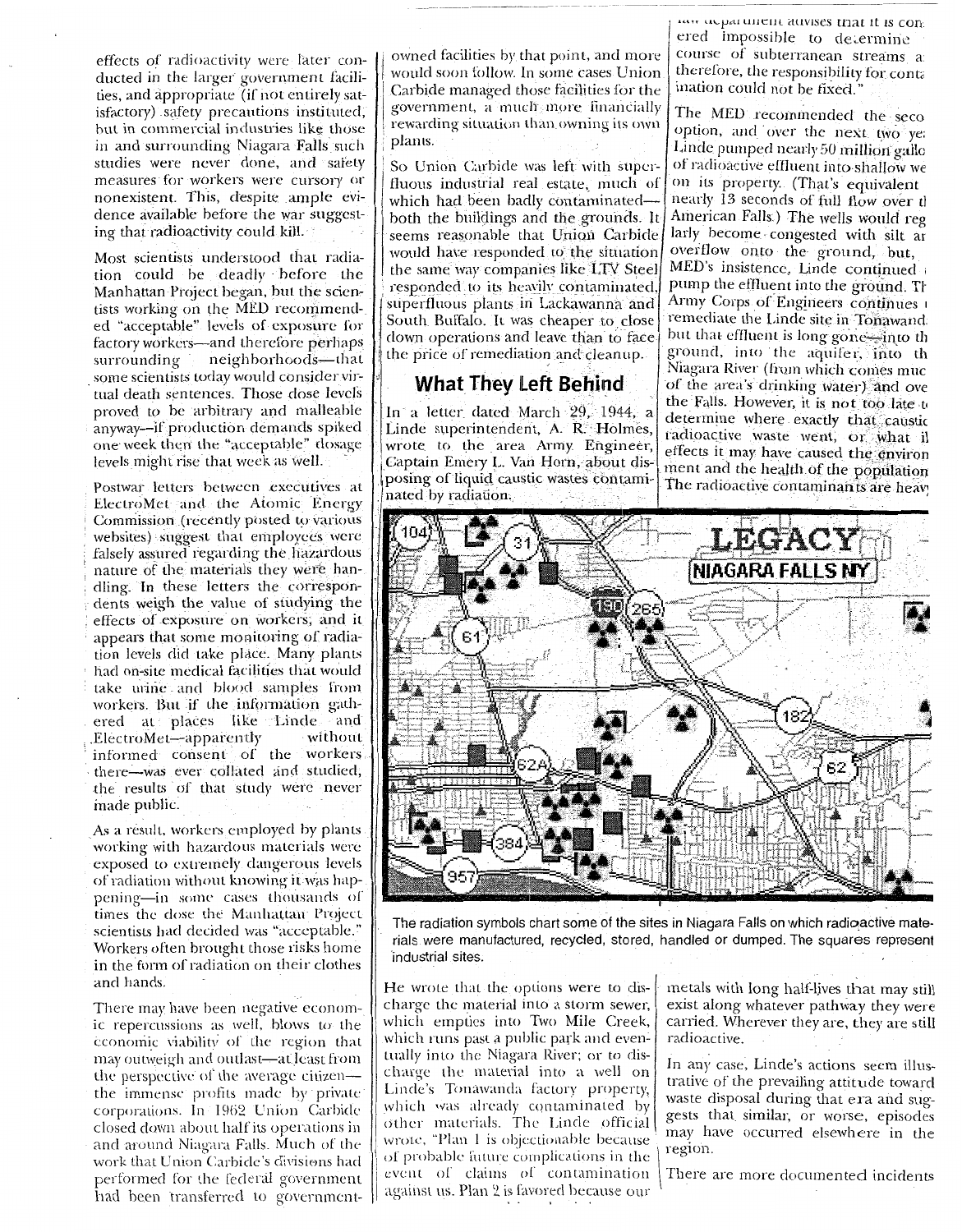effects of radioactivity were later conducted in the larger government facilities, and appropriate (if not entirely satisfactory) safety precautions instituted, but in commercial industries like those in and surrounding Niagara Falls such studies were never done, and safety measures for workers were cursory or nonexistent. This, despite ample evidence available before the war suggesting that radioactivity could kill.

Most scientists understood that radiation could be deadly before the Manhattan Project began, but the scientists working on the MED recommended "acceptable" levels of exposure for factory workers-and therefore perhaps neighborhoods-that surrounding some scientists today would consider virtual death sentences. Those dose levels proved to be arbitrary and malleable anyway-if production demands spiked one week then the "acceptable" dosage levels might rise that week as well.

Postwar letters between executives at ElectroMet and the Atomic Energy Commission (recently posted to various websites) suggest that employees were falsely assured regarding the hazardous nature of the materials they were handling. In these letters the correspondents weigh the value of studying the effects of exposure on workers, and it appears that some monitoring of radiation levels did take place. Many plants had on-site medical facilities that would take urine and blood samples from workers. But if the information gathered at places like Linde and without ElectroMet-apparently informed consent of the workers there-was ever collated and studied, the results of that study were never made public.

As a result, workers employed by plants working with hazardous materials were exposed to extremely dangerous levels of radiation without knowing it was happening-in some cases thousands of times the dose the Manhattan Project scientists had decided was "acceptable." Workers often brought those risks home in the form of radiation on their clothes and hands.

There may have been negative economic repercussions as well, blows to the economic viability of the region that may outweigh and outlast—at least from the perspective of the average citizen the immense profits made by private corporations. In 1962 Union Carbide closed down about half its operations in and around Niagara Falls. Much of the work that Union Carbide's divisions had performed for the federal government had been transferred to governmentowned facilities by that point, and more would soon follow. In some cases Union. Carbide managed those facilities for the government, a much more financially rewarding situation than owning its own plants.

So Union Carbide was left with superfluous industrial real estate, much of which had been badly contaminatedboth the buildings and the grounds. It seems reasonable that Union Carbide would have responded to the situation the same way companies like LTV Steel responded to its heavily contaminated, superfluous plants in Lackawanna and South Buffalo. It was cheaper to close down operations and leave than to face the price of remediation and cleanup.

#### **What They Left Behind**

In a letter dated March 29, 1944, a Linde superintendent, A. R. Holmes, wrote to the area Army Engineer, Captain Emery L. Van Horn, about disposing of liquid caustic wastes contaminated by radiation.

taw ocpartment advises that it is conered impossible to determine course of subterranean streams a therefore, the responsibility for conta ination could not be fixed."

The MED recommended the seco option, and over the next two ye: Linde pumped nearly 50 million gallo of radioactive effluent into shallow we on its property. (That's equivalent nearly 13 seconds of full flow over the American Falls.) The wells would reg larly become congested with silt ar overflow onto the ground, but, MED's insistence, Linde continued pump the effluent into the ground. Th Army Corps of Engineers continues 1 remediate the Linde site in Tonawand. but that effluent is long gone into th ground, into the aquifer, into th Niagara River (from which comes muc of the area's drinking water) and ove the Falls. However, it is not too late to determine where exactly that caustic radioactive waste went, or what il effects it may have caused the environ ment and the health of the population The radioactive contaminants are heav!



The radiation symbols chart some of the sites in Niagara Falls on which radioactive materials were manufactured, recycled, stored, handled or dumped. The squares represent industrial sites.

He wrote that the options were to discharge the material into a storm sewer, which empties into Two Mile Creek, which runs past a public park and eventually into the Niagara River; or to discharge the material into a well on Linde's Tonáwanda factory property, which was already contaminated by other materials. The Linde official wrote, "Plan 1 is objectionable because of probable future complications in the event of claims of contamination against us. Plan 2 is favored because our

metals with long half-lives that may still exist along whatever pathway they were carried. Wherever they are, they are still radioactive.

In any case, Linde's actions seem illustrative of the prevailing attitude toward waste disposal during that era and suggests that similar, or worse, episodes may have occurred elsewhere in the region.

There are more documented incidents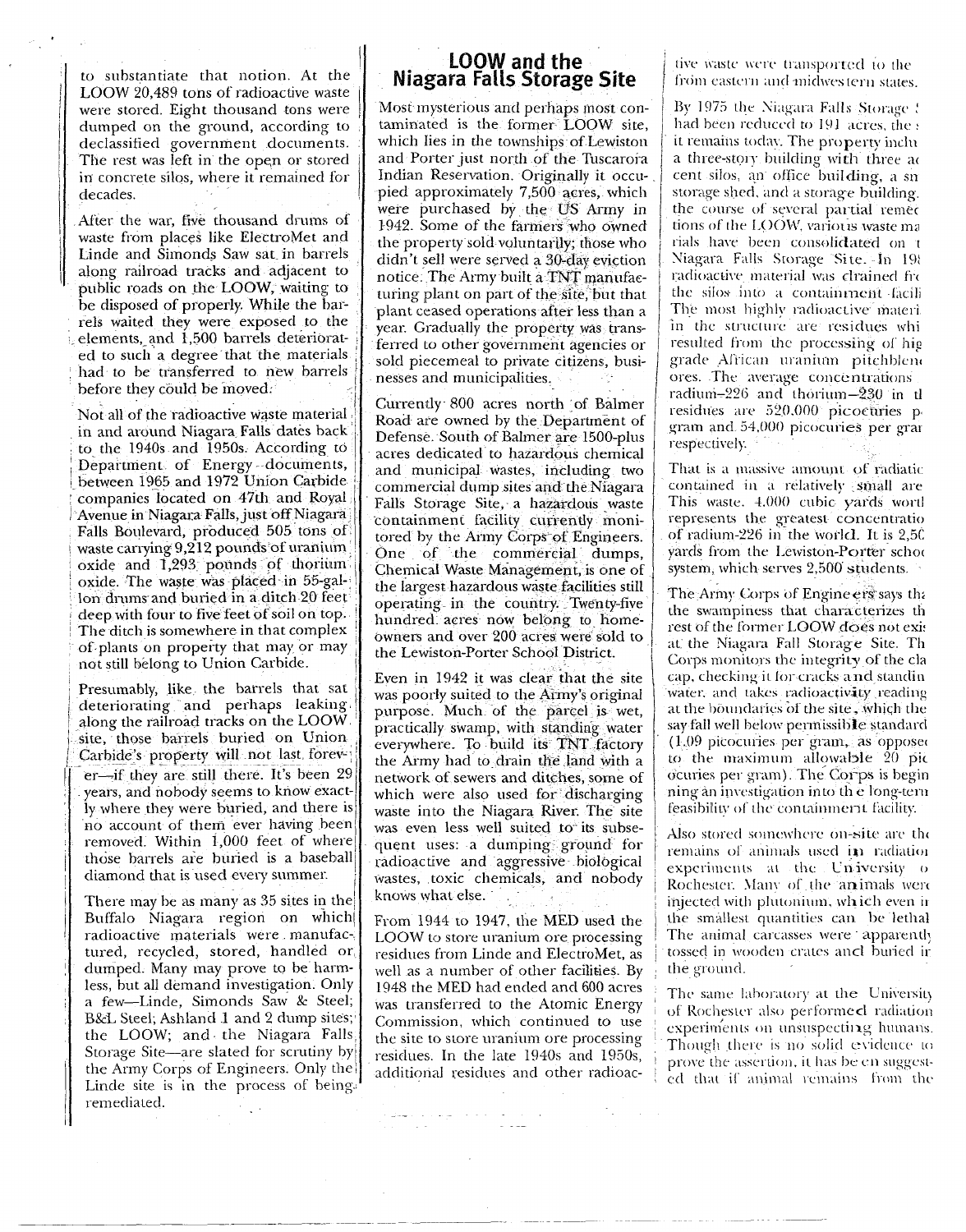to substantiate that notion. At the LOOW 20,489 tons of radioactive waste were stored. Eight thousand tons were dumped on the ground, according to declassified government documents. The rest was left in the open or stored in concrete silos, where it remained for decades.

After the war, five thousand drums of waste from places like ElectroMet and Linde and Simonds Saw sat in barrels along railroad tracks and adjacent to public roads on the LOOW, waiting to be disposed of properly. While the barrels waited they were exposed to the elements, and 1,500 barrels deteriorated to such a degree that the materials had to be transferred to new barrels before they could be moved.

Not all of the radioactive waste material in and around Niagara Falls dates back to the 1940s and 1950s. According to Department of Energy-documents, between 1965 and 1972 Union Carbide companies located on 47th and Royal Avenue in Niagara Falls, just off Niagara Falls Boulevard, produced 505 tons of waste carrying 9,212 pounds of uranium oxide and 1,293 pounds of thorium oxide. The waste was placed in 55-gallon drums and buried in a ditch 20 feet deep with four to five feet of soil on top. The ditch is somewhere in that complex of plants on property that may or may not still belong to Union Carbide.

Presumably, like the barrels that sat deteriorating and perhaps leaking along the railroad tracks on the LOOW site, those barrels buried on Union Carbide's property will not last forever-if they are still there. It's been 29 years, and nobody seems to know exactly where they were buried, and there is no account of them ever having been removed. Within 1,000 feet of where those barrels are buried is a baseball diamond that is used every summer.

There may be as many as 35 sites in the Buffalo Niagara region on which radioactive materials were manufactured, recycled, stored, handled or dumped. Many may prove to be harmless, but all demand investigation. Only a few-Linde, Simonds Saw & Steel; B&L Steel; Ashland 1 and 2 dump sites; the LOOW; and the Niagara Falls Storage Site-are slated for scrutiny by the Army Corps of Engineers. Only the Linde site is in the process of being. remediated.  $\mathcal{F}_{\mathcal{A}}$  .

# LOOW and the<br>Niagara Falls Storage Site

Most mysterious and perhaps most contaminated is the former LOOW site, which lies in the townships of Lewiston and Porter just north of the Tuscarora Indian Reservation. Originally it occupied approximately 7,500 acres, which were purchased by the US Army in 1942. Some of the farmers who owned the property sold voluntarily; those who didn't sell were served a 30-day eviction notice. The Army built a TNT manufacturing plant on part of the site, but that plant ceased operations after less than a year. Gradually the property was transferred to other government agencies or sold piecemeal to private citizens, businesses and municipalities.

Currently 800 acres north of Balmer Road are owned by the Department of Defense. South of Balmer are 1500-plus acres dedicated to hazardous chemical and municipal wastes, including two commercial dump sites and the Niagara Falls Storage Site, a hazardous waste containment facility currently monitored by the Army Corps of Engineers. One of the commercial dumps, Chemical Waste Management, is one of the largest hazardous waste facilities still operating in the country. Twenty-five hundred acres now belong to homeowners and over 200 acres were sold to the Lewiston-Porter School District.

Even in 1942 it was clear that the site was poorly suited to the Army's original purpose. Much of the parcel is wet, practically swamp, with standing water everywhere. To build its TNT factory the Army had to drain the land with a network of sewers and ditches, some of which were also used for discharging waste into the Niagara River. The site was even less well suited to its subsequent uses: a dumping ground for radioactive and aggressive biological wastes, toxic chemicals, and nobody knows what else.

From 1944 to 1947, the MED used the LOOW to store uranium ore processing residues from Linde and ElectroMet, as well as a number of other facilities. By 1948 the MED had ended and 600 acres was transferred to the Atomic Energy Commission, which continued to use the site to store uranium ore processing residues. In the late 1940s and 1950s, additional residues and other radioac-

a del conquero de la caractería.<br>Composición

tive waste were transported to the from eastern and midwestern states.

By 1975 the Niagara Falls Storage ! had been reduced to 191 acres, the : it remains today. The property inclu a three-story building with three ac cent silos, an office building, a sn storage shed, and a storage building. the course of several partial remet tions of the LOOW, various waste ma rials have been consolidated on t Niagara Falls Storage Site. In 198 radioactive material was clrained fre the silos into a containment facili The most highly radioactive materiin the structure are residues whi resulted from the processing of high grade African uranium pitchblend ores. The average concentrations radium-226 and thorium-230 in tl residues are 520,000 picoetiries p gram and 54,000 picocuries per gran respectively.

That is a massive amount of radiatic contained in a relatively small are This waste. 4,000 cubic yards wortl represents the greatest concentratio of radium-226 in the world. It is 2,50 yards from the Lewiston-Porter school system, which serves 2,500 students.

The Army Corps of Engine ers says the the swampiness that characterizes th rest of the former LOOW does not exis at the Niagara Fall Storage Site. Th Corps monitors the integrity of the cla cap, checking it for cracks and standin water, and takes radioactivity reading at the boundaries of the site, which the say fall well below permissible standard (1.09 picocuries per gram, as opposed to the maximum allowable 20 pic ocuries per gram). The Corps is begin ning àn investigation into the long-tern feasibility of the containment facility.

Also stored somewhere on-site are the remains of animals used in radiation experiments at the University of Rochester. Many of the animals were injected with plutonium, which even ir the smallest quantities can be lethal The animal carcasses were apparently tossed in wooden crates ancl buried in the ground.

The same laboratory at the University of Rochester also performed radiation experiments on unsuspecting humans. Though there is no solid evidence to prove the assertion, it has be en suggested that if animal remains from the